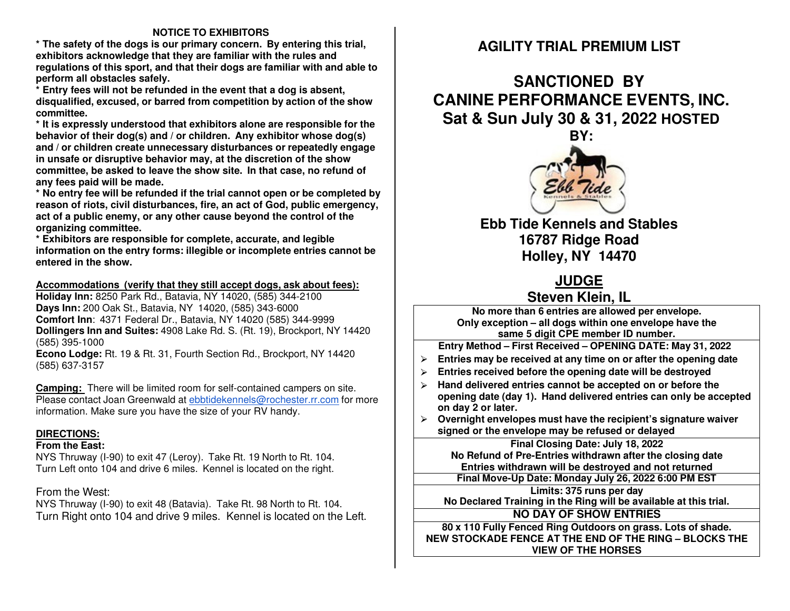### **NOTICE TO EXHIBITORS**

 **\* The safety of the dogs is our primary concern. By entering this trial, exhibitors acknowledge that they are familiar with the rules and regulations of this sport, and that their dogs are familiar with and able to perform all obstacles safely.** 

 **\* Entry fees will not be refunded in the event that a dog is absent, disqualified, excused, or barred from competition by action of the show committee.** 

 **\* It is expressly understood that exhibitors alone are responsible for the behavior of their dog(s) and / or children. Any exhibitor whose dog(s) and / or children create unnecessary disturbances or repeatedly engage in unsafe or disruptive behavior may, at the discretion of the show committee, be asked to leave the show site. In that case, no refund of any fees paid will be made.** 

 **\* No entry fee will be refunded if the trial cannot open or be completed by reason of riots, civil disturbances, fire, an act of God, public emergency, act of a public enemy, or any other cause beyond the control of the organizing committee.** 

 **\* Exhibitors are responsible for complete, accurate, and legible information on the entry forms: illegible or incomplete entries cannot be entered in the show.** 

### **Accommodations (verify that they still accept dogs, ask about fees):**

**Holiday Inn:** 8250 Park Rd., Batavia, NY 14020, (585) 344-2100 **Days Inn:** 200 Oak St., Batavia, NY 14020, (585) 343-6000 **Comfort Inn**: 4371 Federal Dr., Batavia, NY 14020 (585) 344-9999 **Dollingers Inn and Suites:** 4908 Lake Rd. S. (Rt. 19), Brockport, NY 14420 (585) 395-1000

 **Econo Lodge:** Rt. 19 & Rt. 31, Fourth Section Rd., Brockport, NY 14420 (585) 637-3157

**Camping:** There will be limited room for self-contained campers on site. Please contact Joan Greenwald at ebbtidekennels@rochester.rr.com for more information. Make sure you have the size of your RV handy.

### **DIRECTIONS:**

### **From the East:**

 NYS Thruway (I-90) to exit 47 (Leroy). Take Rt. 19 North to Rt. 104. Turn Left onto 104 and drive 6 miles. Kennel is located on the right.

### From the West:

 NYS Thruway (I-90) to exit 48 (Batavia). Take Rt. 98 North to Rt. 104. Turn Right onto 104 and drive 9 miles. Kennel is located on the Left.

# **AGILITY TRIAL PREMIUM LIST**

**SANCTIONED BY CANINE PERFORMANCE EVENTS, INC. Sat & Sun July 30 & 31, 2022 HOSTED** 



**Ebb Tide Kennels and Stables 16787 Ridge Road Holley, NY 14470** 

# **JUDGE Steven Klein, IL**

 **No more than 6 entries are allowed per envelope. Only exception – all dogs within one envelope have the same 5 digit CPE member ID number.** 

**Entry Method– First Received– OPENING DATE: May 31, <sup>2022</sup>**

- **Entries may be received at any time on or after the opening date**  ⮚
- $\triangleright$ **Entries received before the opening date will be destroyed**
- ⮚ **Hand delivered entries cannot be accepted on or before the opening date (day 1). Hand delivered entries can only be accepted on day 2 or later.**
- ⮚ **Overnight envelopes must have the recipient's signature waiver signed or the envelope may be refused or delayed**

# **Final Closing Date: July 18, <sup>2022</sup>**

**No Refund of Pre-Entries withdrawn after the closing date Entries withdrawn will be destroyed and not returned** 

**Final Move-Up Date: Monday July 26, <sup>2022</sup> 6:00 PM EST**

**Limits: 375 runs per day No Declared Training in the Ring will be available at this trial.** 

**NO DAY OF SHOW ENTRIES**

**80x <sup>110</sup> Fully Fenced Ring Outdoors on grass. Lots of shade. NEW STOCKADE FENCE AT THE END OF THE RING – BLOCKS THE VIEW OF THE HORSES**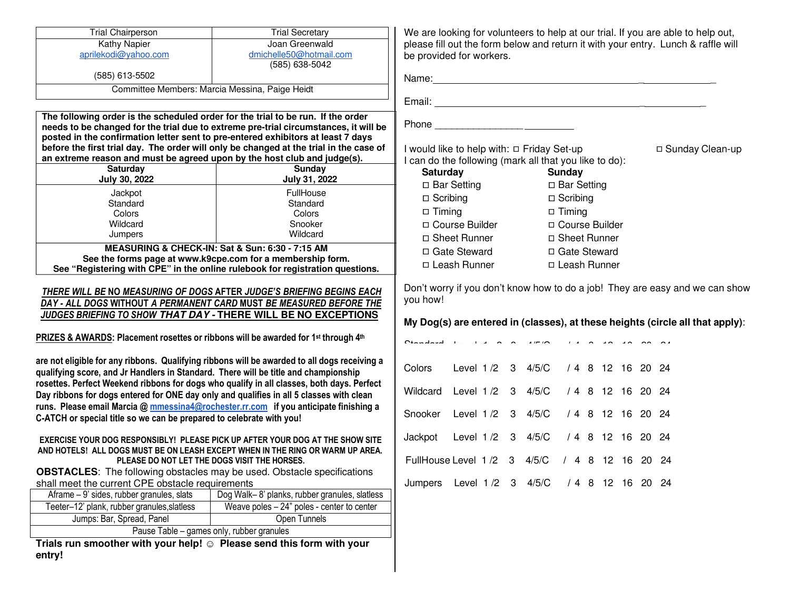| <b>Trial Chairperson</b>                                                                                                                                                                                                                                                                                                                                                                                                                                                                                                                                                                                                                                                                                                                                                                                                                                                                                                                                                                                                                                                                                                                                                                                                                                                                                                                                                                                                                                                                                                                                                     | <b>Trial Secretary</b>                                                                                                                                                         |                                                                                                                                                                                          |                                                                                                                                                                                                                                                                    |  |                    |  |  |  | We are looking for volunteers to help at our trial. If you are able to help out,                                                                              |
|------------------------------------------------------------------------------------------------------------------------------------------------------------------------------------------------------------------------------------------------------------------------------------------------------------------------------------------------------------------------------------------------------------------------------------------------------------------------------------------------------------------------------------------------------------------------------------------------------------------------------------------------------------------------------------------------------------------------------------------------------------------------------------------------------------------------------------------------------------------------------------------------------------------------------------------------------------------------------------------------------------------------------------------------------------------------------------------------------------------------------------------------------------------------------------------------------------------------------------------------------------------------------------------------------------------------------------------------------------------------------------------------------------------------------------------------------------------------------------------------------------------------------------------------------------------------------|--------------------------------------------------------------------------------------------------------------------------------------------------------------------------------|------------------------------------------------------------------------------------------------------------------------------------------------------------------------------------------|--------------------------------------------------------------------------------------------------------------------------------------------------------------------------------------------------------------------------------------------------------------------|--|--------------------|--|--|--|---------------------------------------------------------------------------------------------------------------------------------------------------------------|
| Kathy Napier                                                                                                                                                                                                                                                                                                                                                                                                                                                                                                                                                                                                                                                                                                                                                                                                                                                                                                                                                                                                                                                                                                                                                                                                                                                                                                                                                                                                                                                                                                                                                                 | Joan Greenwald                                                                                                                                                                 |                                                                                                                                                                                          |                                                                                                                                                                                                                                                                    |  |                    |  |  |  | please fill out the form below and return it with your entry. Lunch & raffle will                                                                             |
| aprilekodi@yahoo.com                                                                                                                                                                                                                                                                                                                                                                                                                                                                                                                                                                                                                                                                                                                                                                                                                                                                                                                                                                                                                                                                                                                                                                                                                                                                                                                                                                                                                                                                                                                                                         | dmichelle50@hotmail.com<br>(585) 638-5042                                                                                                                                      |                                                                                                                                                                                          | be provided for workers.                                                                                                                                                                                                                                           |  |                    |  |  |  |                                                                                                                                                               |
| (585) 613-5502                                                                                                                                                                                                                                                                                                                                                                                                                                                                                                                                                                                                                                                                                                                                                                                                                                                                                                                                                                                                                                                                                                                                                                                                                                                                                                                                                                                                                                                                                                                                                               |                                                                                                                                                                                |                                                                                                                                                                                          |                                                                                                                                                                                                                                                                    |  |                    |  |  |  |                                                                                                                                                               |
|                                                                                                                                                                                                                                                                                                                                                                                                                                                                                                                                                                                                                                                                                                                                                                                                                                                                                                                                                                                                                                                                                                                                                                                                                                                                                                                                                                                                                                                                                                                                                                              | Committee Members: Marcia Messina, Paige Heidt                                                                                                                                 |                                                                                                                                                                                          |                                                                                                                                                                                                                                                                    |  |                    |  |  |  |                                                                                                                                                               |
|                                                                                                                                                                                                                                                                                                                                                                                                                                                                                                                                                                                                                                                                                                                                                                                                                                                                                                                                                                                                                                                                                                                                                                                                                                                                                                                                                                                                                                                                                                                                                                              |                                                                                                                                                                                |                                                                                                                                                                                          |                                                                                                                                                                                                                                                                    |  |                    |  |  |  |                                                                                                                                                               |
| The following order is the scheduled order for the trial to be run. If the order<br>posted in the confirmation letter sent to pre-entered exhibitors at least 7 days<br>an extreme reason and must be agreed upon by the host club and judge(s).                                                                                                                                                                                                                                                                                                                                                                                                                                                                                                                                                                                                                                                                                                                                                                                                                                                                                                                                                                                                                                                                                                                                                                                                                                                                                                                             | needs to be changed for the trial due to extreme pre-trial circumstances, it will be<br>before the first trial day. The order will only be changed at the trial in the case of |                                                                                                                                                                                          | I would like to help with: □ Friday Set-up                                                                                                                                                                                                                         |  |                    |  |  |  | □ Sunday Clean-up                                                                                                                                             |
| Saturday<br>July 30, 2022                                                                                                                                                                                                                                                                                                                                                                                                                                                                                                                                                                                                                                                                                                                                                                                                                                                                                                                                                                                                                                                                                                                                                                                                                                                                                                                                                                                                                                                                                                                                                    | Sunday<br>July 31, 2022                                                                                                                                                        | I can do the following (mark all that you like to do):<br><b>Saturday Satural Satural Satural Satural Satural Satural Satural Satura Satura Satura Satura Satura Satura Sa</b><br>Sunday |                                                                                                                                                                                                                                                                    |  |                    |  |  |  |                                                                                                                                                               |
|                                                                                                                                                                                                                                                                                                                                                                                                                                                                                                                                                                                                                                                                                                                                                                                                                                                                                                                                                                                                                                                                                                                                                                                                                                                                                                                                                                                                                                                                                                                                                                              | FullHouse                                                                                                                                                                      |                                                                                                                                                                                          | □ Bar Setting                                                                                                                                                                                                                                                      |  | $\Box$ Bar Setting |  |  |  |                                                                                                                                                               |
| Jackpot<br>Standard                                                                                                                                                                                                                                                                                                                                                                                                                                                                                                                                                                                                                                                                                                                                                                                                                                                                                                                                                                                                                                                                                                                                                                                                                                                                                                                                                                                                                                                                                                                                                          | Standard                                                                                                                                                                       |                                                                                                                                                                                          | □ Scribing                                                                                                                                                                                                                                                         |  | $\Box$ Scribing    |  |  |  |                                                                                                                                                               |
| Colors                                                                                                                                                                                                                                                                                                                                                                                                                                                                                                                                                                                                                                                                                                                                                                                                                                                                                                                                                                                                                                                                                                                                                                                                                                                                                                                                                                                                                                                                                                                                                                       | Colors                                                                                                                                                                         | $\Box$ Timing                                                                                                                                                                            |                                                                                                                                                                                                                                                                    |  | $\Box$ Timing      |  |  |  |                                                                                                                                                               |
| Wildcard                                                                                                                                                                                                                                                                                                                                                                                                                                                                                                                                                                                                                                                                                                                                                                                                                                                                                                                                                                                                                                                                                                                                                                                                                                                                                                                                                                                                                                                                                                                                                                     | Snooker                                                                                                                                                                        |                                                                                                                                                                                          | □ Course Builder                                                                                                                                                                                                                                                   |  | □ Course Builder   |  |  |  |                                                                                                                                                               |
| Jumpers                                                                                                                                                                                                                                                                                                                                                                                                                                                                                                                                                                                                                                                                                                                                                                                                                                                                                                                                                                                                                                                                                                                                                                                                                                                                                                                                                                                                                                                                                                                                                                      | Wildcard                                                                                                                                                                       |                                                                                                                                                                                          | □ Sheet Runner                                                                                                                                                                                                                                                     |  | □ Sheet Runner     |  |  |  |                                                                                                                                                               |
| MEASURING & CHECK-IN: Sat & Sun: 6:30 - 7:15 AM                                                                                                                                                                                                                                                                                                                                                                                                                                                                                                                                                                                                                                                                                                                                                                                                                                                                                                                                                                                                                                                                                                                                                                                                                                                                                                                                                                                                                                                                                                                              |                                                                                                                                                                                |                                                                                                                                                                                          | □ Gate Steward                                                                                                                                                                                                                                                     |  | □ Gate Steward     |  |  |  |                                                                                                                                                               |
| See the forms page at www.k9cpe.com for a membership form.<br>See "Registering with CPE" in the online rulebook for registration questions.                                                                                                                                                                                                                                                                                                                                                                                                                                                                                                                                                                                                                                                                                                                                                                                                                                                                                                                                                                                                                                                                                                                                                                                                                                                                                                                                                                                                                                  |                                                                                                                                                                                |                                                                                                                                                                                          | □ Leash Runner                                                                                                                                                                                                                                                     |  | □ Leash Runner     |  |  |  |                                                                                                                                                               |
| THERE WILL BE NO MEASURING OF DOGS AFTER JUDGE'S BRIEFING BEGINS EACH<br>DAY - ALL DOGS WITHOUT A PERMANENT CARD MUST BE MEASURED BEFORE THE<br>JUDGES BRIEFING TO SHOW THAT DAY - THERE WILL BE NO EXCEPTIONS<br>PRIZES & AWARDS: Placement rosettes or ribbons will be awarded for 1st through 4th<br>are not eligible for any ribbons. Qualifying ribbons will be awarded to all dogs receiving a<br>qualifying score, and Jr Handlers in Standard. There will be title and championship<br>rosettes. Perfect Weekend ribbons for dogs who qualify in all classes, both days. Perfect<br>Day ribbons for dogs entered for ONE day only and qualifies in all 5 classes with clean<br>runs. Please email Marcia @ mmessina4@rochester.rr.com if you anticipate finishing a<br>C-ATCH or special title so we can be prepared to celebrate with you!<br>EXERCISE YOUR DOG RESPONSIBLY! PLEASE PICK UP AFTER YOUR DOG AT THE SHOW SITE<br>AND HOTELS! ALL DOGS MUST BE ON LEASH EXCEPT WHEN IN THE RING OR WARM UP AREA.<br>PLEASE DO NOT LET THE DOGS VISIT THE HORSES.<br><b>OBSTACLES:</b> The following obstacles may be used. Obstacle specifications<br>shall meet the current CPE obstacle requirements<br>Aframe - 9' sides, rubber granules, slats<br>Dog Walk-8' planks, rubber granules, slatless<br>Teeter-12' plank, rubber granules, slatless<br>Weave poles $-24$ " poles - center to center<br>Jumps: Bar, Spread, Panel<br>Open Tunnels<br>Pause Table - games only, rubber granules<br>Trials run smoother with your help! © Please send this form with your |                                                                                                                                                                                | you how!<br>Colors<br>Wildcard<br>Snooker<br>Jackpot                                                                                                                                     | O<br>Level 1 /2 3 4/5/C / 4 8 12 16 20 24<br>Level 1 /2 3 4/5/C / 4 8 12 16 20 24<br>Level 1 /2 3 4/5/C / 4 8 12 16 20 24<br>Level 1 /2 3 4/5/C / 4 8 12 16 20 24<br>FullHouse Level 1/2 3 4/5/C / 4 8 12 16 20 24<br>Jumpers Level 1 /2 3 4/5/C / 4 8 12 16 20 24 |  |                    |  |  |  | Don't worry if you don't know how to do a job! They are easy and we can show<br>My Dog(s) are entered in (classes), at these heights (circle all that apply): |
| entry!                                                                                                                                                                                                                                                                                                                                                                                                                                                                                                                                                                                                                                                                                                                                                                                                                                                                                                                                                                                                                                                                                                                                                                                                                                                                                                                                                                                                                                                                                                                                                                       |                                                                                                                                                                                |                                                                                                                                                                                          |                                                                                                                                                                                                                                                                    |  |                    |  |  |  |                                                                                                                                                               |
|                                                                                                                                                                                                                                                                                                                                                                                                                                                                                                                                                                                                                                                                                                                                                                                                                                                                                                                                                                                                                                                                                                                                                                                                                                                                                                                                                                                                                                                                                                                                                                              |                                                                                                                                                                                |                                                                                                                                                                                          |                                                                                                                                                                                                                                                                    |  |                    |  |  |  |                                                                                                                                                               |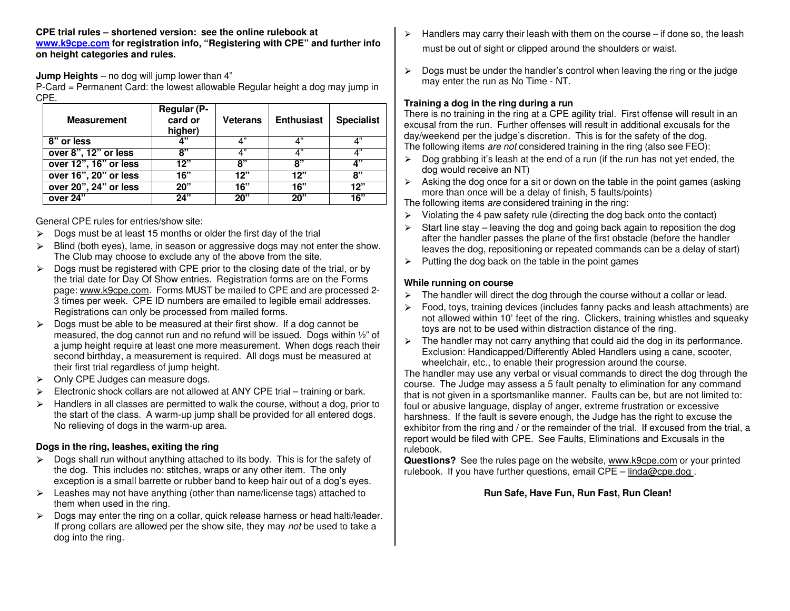**CPE trial rules – shortened version: see the online rulebook at www.k9cpe.com for registration info, "Registering with CPE" and further info on height categories and rules.** 

**Jump Heights** – no dog will jump lower than 4"

 P-Card = Permanent Card: the lowest allowable Regular height a dog may jump in CPE.

| <b>Measurement</b>    | <b>Regular (P-</b><br>card or<br>higher) | <b>Veterans</b> | <b>Enthusiast</b> | <b>Specialist</b> |
|-----------------------|------------------------------------------|-----------------|-------------------|-------------------|
| 8" or less            | 4"                                       | 4"              | Δ"                | 4"                |
| over 8", 12" or less  | 8"                                       | 4"              | 4"                | 4"                |
| over 12", 16" or less | 12"                                      | ጸ"              | ጸ"                | 4"                |
| over 16", 20" or less | 16"                                      | 12"             | 12"               | 8"                |
| over 20", 24" or less | 20"                                      | 16"             | 16"               | 12"               |
| over 24"              | 24"                                      | 20"             | 20"               | 16"               |

General CPE rules for entries/show site:

- $\triangleright$ Dogs must be at least 15 months or older the first day of the trial
- $\triangleright$  Blind (both eyes), lame, in season or aggressive dogs may not enter the show. The Club may choose to exclude any of the above from the site.
- $\triangleright$  Dogs must be registered with CPE prior to the closing date of the trial, or by<br>the trial date for Day Of Show ontries. Begistration forms are on the Forms  $\triangleright$ the trial date for Day Of Show entries. Registration forms are on the Forms page: www.k9cpe.com. Forms MUST be mailed to CPE and are processed 2-3 times per week. CPE ID numbers are emailed to legible email addresses. Registrations can only be processed from mailed forms.
- $\triangleright$  Dogs must be able to be measured at their first show. If a dog cannot be measured, the dog cannot run and no refund will be issued. Dogs within ½" of a jump height require at least one more measurement. When dogs reach their second birthday, a measurement is required. All dogs must be measured at their first trial regardless of jump height.
- ► Only CPE Judges can measure dogs.<br>
Flastrenis shark sellers are not allows
- $\blacktriangleright$ Electronic shock collars are not allowed at ANY CPE trial – training or bark.
- $\blacktriangleright$  Handlers in all classes are permitted to walk the course, without a dog, prior to the start of the class. A warm-up jump shall be provided for all entered dogs. No relieving of dogs in the warm-up area.

## **Dogs in the ring, leashes, exiting the ring**

- $\triangleright$  Dogs shall run without anything attached to its body. This is for the safety of the dog. This includes not stighted wraps or any other item. The only the dog. This includes no: stitches, wraps or any other item. The only exception is a small barrette or rubber band to keep hair out of a dog's eyes.
- $\geq$  Leashes may not have anything (other than name/license tags) attached to them when used in the ring them when used in the ring.
- $\triangleright$  Dogs may enter the ring on a collar, quick release harness or head halti/leader.<br>If prong collars are allowed per the show site, they may not be used to take a If prong collars are allowed per the show site, they may not be used to take a dog into the ring.
- $\blacktriangleright$  Handlers may carry their leash with them on the course – if done so, the leash must be out of sight or clipped around the shoulders or waist.
- $\triangleright$  Dogs must be under the handler's control when leaving the ring or the judge may enter the run as No Time - NT.

### **Training a dog in the ring during a run**

 There is no training in the ring at a CPE agility trial. First offense will result in an excusal from the run. Further offenses will result in additional excusals for the day/weekend per the judge's discretion. This is for the safety of the dog. The following items are not considered training in the ring (also see FEO):

- $\geq$  Dog grabbing it's leash at the end of a run (if the run has not yet ended, the dog would receive an NT) dog would receive an NT)
- $\triangleright$  Asking the dog once for a sit or down on the table in the point games (asking more than once will be a delay of finish  $\overline{5}$  faults/points) more than once will be a delay of finish, 5 faults/points)

The following items are considered training in the ring:

- $\triangleright$ Violating the 4 paw safety rule (directing the dog back onto the contact)
- $\triangleright$  Start line stay – leaving the dog and going back again to reposition the dog after the handler passes the plane of the first obstacle (before the handler leaves the dog, repositioning or repeated commands can be a delay of start)
- $\blacktriangleright$ Putting the dog back on the table in the point games

### **While running on course**

- $\blacktriangleright$ The handler will direct the dog through the course without a collar or lead.
- $\triangleright$  Food, toys, training devices (includes fanny packs and leash attachments) are not allowed within 10' feet of the ring. Clickers, training whistles and squeaky toys are not to be used within distraction distance of the ring.
- $\blacktriangleright$  The handler may not carry anything that could aid the dog in its performance. Exclusion: Handicapped/Differently Abled Handlers using a cane, scooter, wheelchair, etc., to enable their progression around the course.

 The handler may use any verbal or visual commands to direct the dog through the course. The Judge may assess a 5 fault penalty to elimination for any command that is not given in a sportsmanlike manner. Faults can be, but are not limited to: foul or abusive language, display of anger, extreme frustration or excessive harshness. If the fault is severe enough, the Judge has the right to excuse the exhibitor from the ring and / or the remainder of the trial. If excused from the trial, a report would be filed with CPE. See Faults, Eliminations and Excusals in the rulebook.

 **Questions?** See the rules page on the website, www.k9cpe.com or your printed rulebook. If you have further questions, email  $\text{CPE} - \text{linda@cpe.dog}$ .

## **Run Safe, Have Fun, Run Fast, Run Clean!**